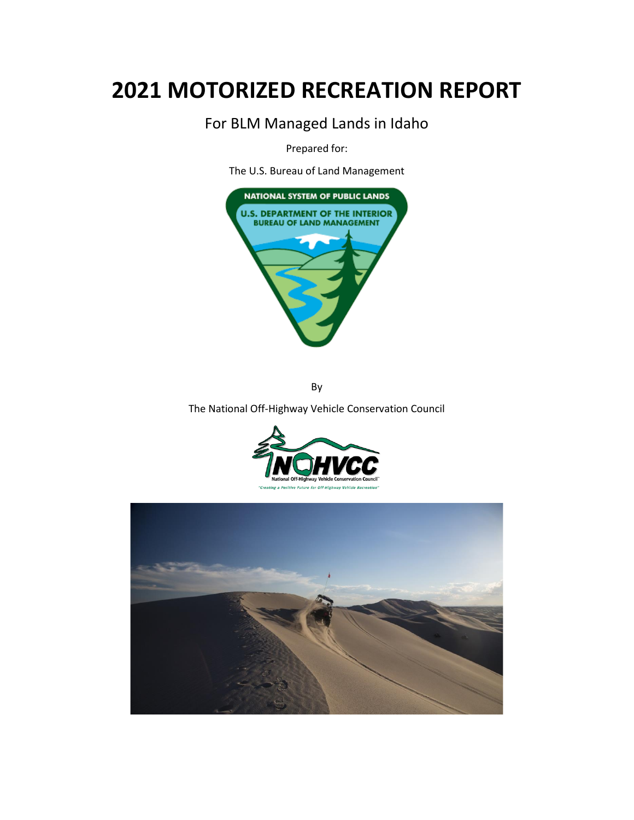# **2021 MOTORIZED RECREATION REPORT**

For BLM Managed Lands in Idaho

Prepared for:

The U.S. Bureau of Land Management



By

The National Off-Highway Vehicle Conservation Council



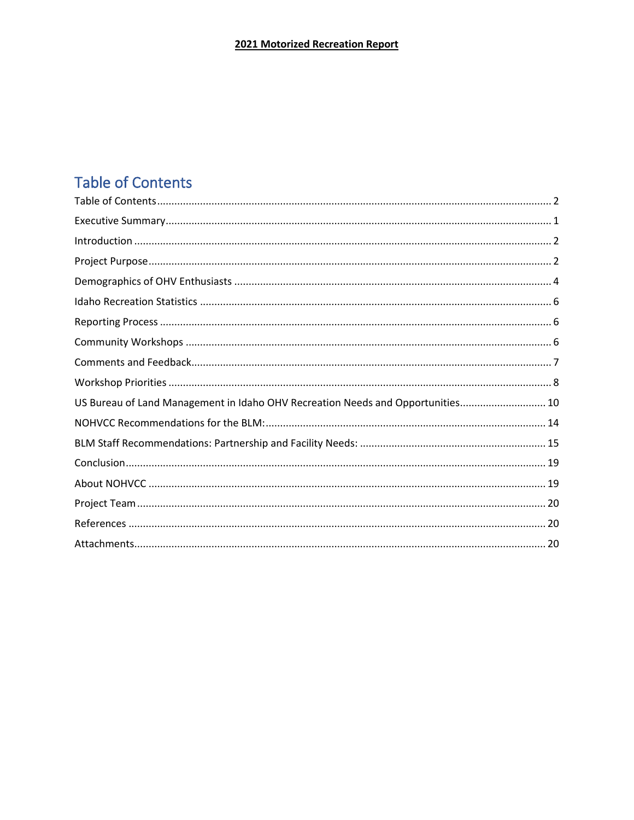# <span id="page-1-0"></span>**Table of Contents**

| US Bureau of Land Management in Idaho OHV Recreation Needs and Opportunities 10 |
|---------------------------------------------------------------------------------|
|                                                                                 |
|                                                                                 |
|                                                                                 |
|                                                                                 |
|                                                                                 |
|                                                                                 |
|                                                                                 |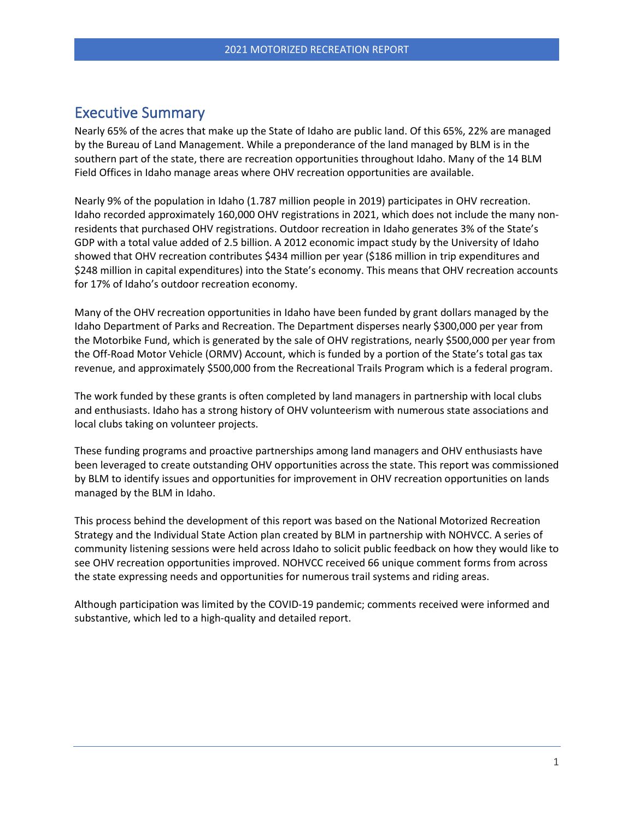### <span id="page-2-0"></span>Executive Summary

Nearly 65% of the acres that make up the State of Idaho are public land. Of this 65%, 22% are managed by the Bureau of Land Management. While a preponderance of the land managed by BLM is in the southern part of the state, there are recreation opportunities throughout Idaho. Many of the 14 BLM Field Offices in Idaho manage areas where OHV recreation opportunities are available.

Nearly 9% of the population in Idaho (1.787 million people in 2019) participates in OHV recreation. Idaho recorded approximately 160,000 OHV registrations in 2021, which does not include the many nonresidents that purchased OHV registrations. Outdoor recreation in Idaho generates 3% of the State's GDP with a total value added of 2.5 billion. A 2012 economic impact study by the University of Idaho showed that OHV recreation contributes \$434 million per year (\$186 million in trip expenditures and \$248 million in capital expenditures) into the State's economy. This means that OHV recreation accounts for 17% of Idaho's outdoor recreation economy.

Many of the OHV recreation opportunities in Idaho have been funded by grant dollars managed by the Idaho Department of Parks and Recreation. The Department disperses nearly \$300,000 per year from the Motorbike Fund, which is generated by the sale of OHV registrations, nearly \$500,000 per year from the Off-Road Motor Vehicle (ORMV) Account, which is funded by a portion of the State's total gas tax revenue, and approximately \$500,000 from the Recreational Trails Program which is a federal program.

The work funded by these grants is often completed by land managers in partnership with local clubs and enthusiasts. Idaho has a strong history of OHV volunteerism with numerous state associations and local clubs taking on volunteer projects.

These funding programs and proactive partnerships among land managers and OHV enthusiasts have been leveraged to create outstanding OHV opportunities across the state. This report was commissioned by BLM to identify issues and opportunities for improvement in OHV recreation opportunities on lands managed by the BLM in Idaho.

This process behind the development of this report was based on the National Motorized Recreation Strategy and the Individual State Action plan created by BLM in partnership with NOHVCC. A series of community listening sessions were held across Idaho to solicit public feedback on how they would like to see OHV recreation opportunities improved. NOHVCC received 66 unique comment forms from across the state expressing needs and opportunities for numerous trail systems and riding areas.

Although participation was limited by the COVID-19 pandemic; comments received were informed and substantive, which led to a high-quality and detailed report.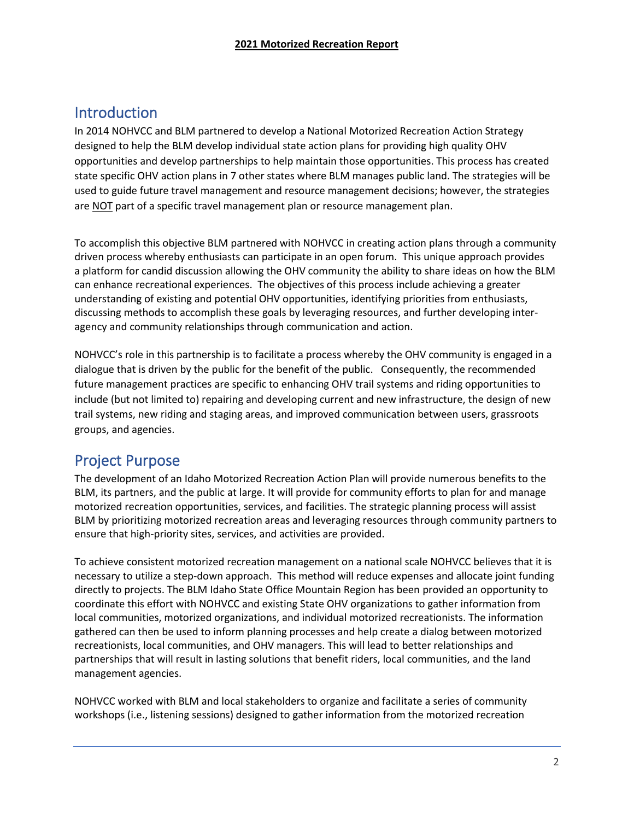### <span id="page-3-0"></span>**Introduction**

In 2014 NOHVCC and BLM partnered to develop a National Motorized Recreation Action Strategy designed to help the BLM develop individual state action plans for providing high quality OHV opportunities and develop partnerships to help maintain those opportunities. This process has created state specific OHV action plans in 7 other states where BLM manages public land. The strategies will be used to guide future travel management and resource management decisions; however, the strategies are NOT part of a specific travel management plan or resource management plan.

To accomplish this objective BLM partnered with NOHVCC in creating action plans through a community driven process whereby enthusiasts can participate in an open forum. This unique approach provides a platform for candid discussion allowing the OHV community the ability to share ideas on how the BLM can enhance recreational experiences. The objectives of this process include achieving a greater understanding of existing and potential OHV opportunities, identifying priorities from enthusiasts, discussing methods to accomplish these goals by leveraging resources, and further developing interagency and community relationships through communication and action.

NOHVCC's role in this partnership is to facilitate a process whereby the OHV community is engaged in a dialogue that is driven by the public for the benefit of the public. Consequently, the recommended future management practices are specific to enhancing OHV trail systems and riding opportunities to include (but not limited to) repairing and developing current and new infrastructure, the design of new trail systems, new riding and staging areas, and improved communication between users, grassroots groups, and agencies.

### <span id="page-3-1"></span>Project Purpose

The development of an Idaho Motorized Recreation Action Plan will provide numerous benefits to the BLM, its partners, and the public at large. It will provide for community efforts to plan for and manage motorized recreation opportunities, services, and facilities. The strategic planning process will assist BLM by prioritizing motorized recreation areas and leveraging resources through community partners to ensure that high-priority sites, services, and activities are provided.

To achieve consistent motorized recreation management on a national scale NOHVCC believes that it is necessary to utilize a step-down approach. This method will reduce expenses and allocate joint funding directly to projects. The BLM Idaho State Office Mountain Region has been provided an opportunity to coordinate this effort with NOHVCC and existing State OHV organizations to gather information from local communities, motorized organizations, and individual motorized recreationists. The information gathered can then be used to inform planning processes and help create a dialog between motorized recreationists, local communities, and OHV managers. This will lead to better relationships and partnerships that will result in lasting solutions that benefit riders, local communities, and the land management agencies.

NOHVCC worked with BLM and local stakeholders to organize and facilitate a series of community workshops (i.e., listening sessions) designed to gather information from the motorized recreation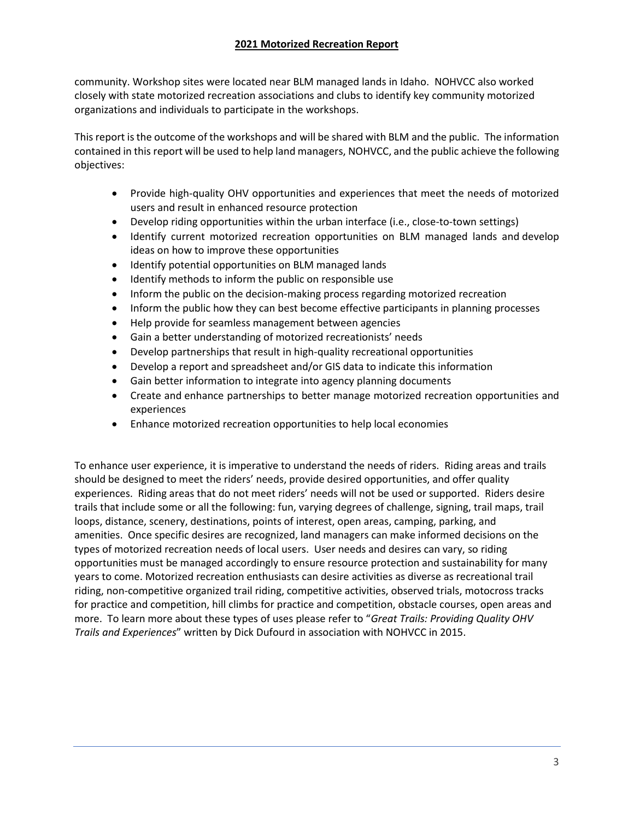community. Workshop sites were located near BLM managed lands in Idaho. NOHVCC also worked closely with state motorized recreation associations and clubs to identify key community motorized organizations and individuals to participate in the workshops.

This report is the outcome of the workshops and will be shared with BLM and the public. The information contained in this report will be used to help land managers, NOHVCC, and the public achieve the following objectives:

- Provide high-quality OHV opportunities and experiences that meet the needs of motorized users and result in enhanced resource protection
- Develop riding opportunities within the urban interface (i.e., close-to-town settings)
- Identify current motorized recreation opportunities on BLM managed lands and develop ideas on how to improve these opportunities
- Identify potential opportunities on BLM managed lands
- Identify methods to inform the public on responsible use
- Inform the public on the decision-making process regarding motorized recreation
- Inform the public how they can best become effective participants in planning processes
- Help provide for seamless management between agencies
- Gain a better understanding of motorized recreationists' needs
- Develop partnerships that result in high-quality recreational opportunities
- Develop a report and spreadsheet and/or GIS data to indicate this information
- Gain better information to integrate into agency planning documents
- Create and enhance partnerships to better manage motorized recreation opportunities and experiences
- Enhance motorized recreation opportunities to help local economies

To enhance user experience, it is imperative to understand the needs of riders. Riding areas and trails should be designed to meet the riders' needs, provide desired opportunities, and offer quality experiences. Riding areas that do not meet riders' needs will not be used or supported. Riders desire trails that include some or all the following: fun, varying degrees of challenge, signing, trail maps, trail loops, distance, scenery, destinations, points of interest, open areas, camping, parking, and amenities. Once specific desires are recognized, land managers can make informed decisions on the types of motorized recreation needs of local users. User needs and desires can vary, so riding opportunities must be managed accordingly to ensure resource protection and sustainability for many years to come. Motorized recreation enthusiasts can desire activities as diverse as recreational trail riding, non-competitive organized trail riding, competitive activities, observed trials, motocross tracks for practice and competition, hill climbs for practice and competition, obstacle courses, open areas and more. To learn more about these types of uses please refer to "*Great Trails: Providing Quality OHV Trails and Experiences*" written by Dick Dufourd in association with NOHVCC in 2015.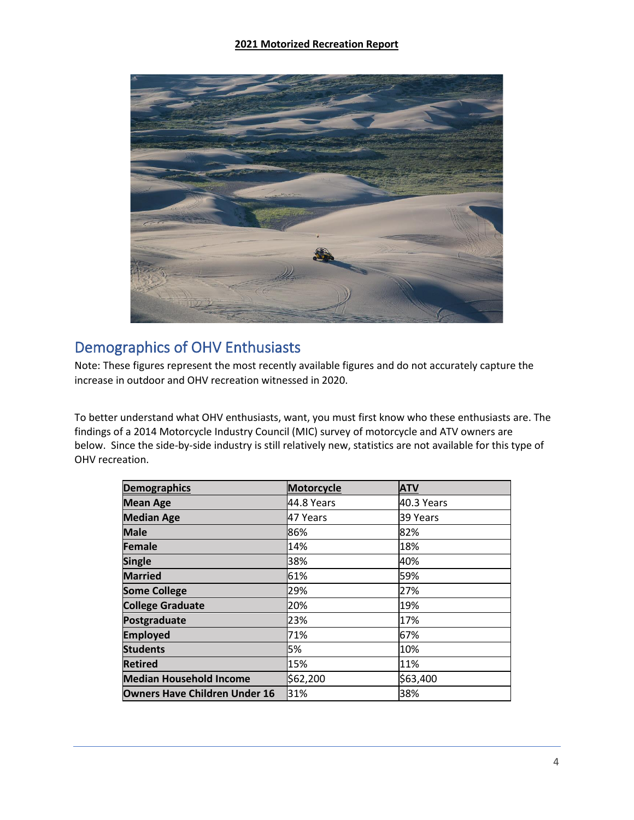

# <span id="page-5-0"></span>Demographics of OHV Enthusiasts

Note: These figures represent the most recently available figures and do not accurately capture the increase in outdoor and OHV recreation witnessed in 2020.

To better understand what OHV enthusiasts, want, you must first know who these enthusiasts are. The findings of a 2014 Motorcycle Industry Council (MIC) survey of motorcycle and ATV owners are below. Since the side-by-side industry is still relatively new, statistics are not available for this type of OHV recreation.

| <b>Demographics</b>                  | Motorcycle | <b>ATV</b> |
|--------------------------------------|------------|------------|
| <b>Mean Age</b>                      | 44.8 Years | 40.3 Years |
| <b>Median Age</b>                    | 47 Years   | 39 Years   |
| <b>Male</b>                          | 86%        | 82%        |
| <b>Female</b>                        | 14%        | 18%        |
| <b>Single</b>                        | 38%        | 40%        |
| <b>Married</b>                       | 61%        | 59%        |
| <b>Some College</b>                  | 29%        | 27%        |
| <b>College Graduate</b>              | 20%        | 19%        |
| Postgraduate                         | 23%        | 17%        |
| <b>Employed</b>                      | 71%        | 67%        |
| <b>Students</b>                      | 5%         | 10%        |
| <b>Retired</b>                       | 15%        | 11%        |
| <b>Median Household Income</b>       | \$62,200   | \$63,400   |
| <b>Owners Have Children Under 16</b> | 31%        | 38%        |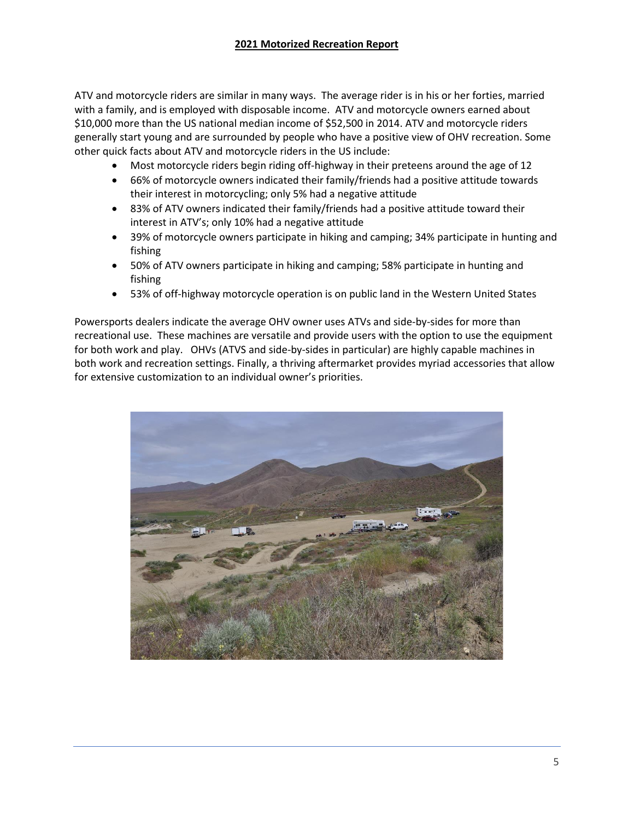ATV and motorcycle riders are similar in many ways. The average rider is in his or her forties, married with a family, and is employed with disposable income. ATV and motorcycle owners earned about \$10,000 more than the US national median income of \$52,500 in 2014. ATV and motorcycle riders generally start young and are surrounded by people who have a positive view of OHV recreation. Some other quick facts about ATV and motorcycle riders in the US include:

- Most motorcycle riders begin riding off-highway in their preteens around the age of 12
- 66% of motorcycle owners indicated their family/friends had a positive attitude towards their interest in motorcycling; only 5% had a negative attitude
- 83% of ATV owners indicated their family/friends had a positive attitude toward their interest in ATV's; only 10% had a negative attitude
- 39% of motorcycle owners participate in hiking and camping; 34% participate in hunting and fishing
- 50% of ATV owners participate in hiking and camping; 58% participate in hunting and fishing
- 53% of off-highway motorcycle operation is on public land in the Western United States

Powersports dealers indicate the average OHV owner uses ATVs and side-by-sides for more than recreational use. These machines are versatile and provide users with the option to use the equipment for both work and play. OHVs (ATVS and side-by-sides in particular) are highly capable machines in both work and recreation settings. Finally, a thriving aftermarket provides myriad accessories that allow for extensive customization to an individual owner's priorities.

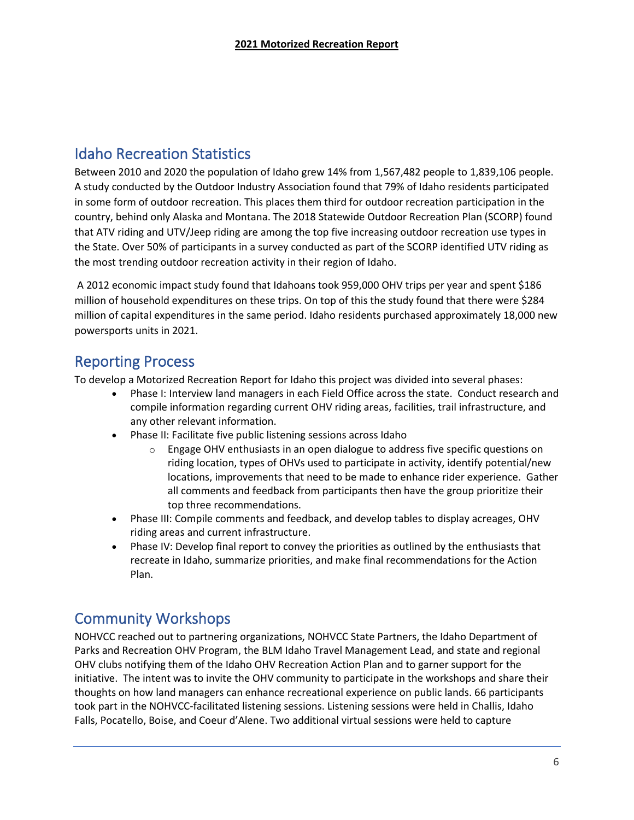### <span id="page-7-0"></span>Idaho Recreation Statistics

Between 2010 and 2020 the population of Idaho grew 14% from 1,567,482 people to 1,839,106 people. A study conducted by the Outdoor Industry Association found that 79% of Idaho residents participated in some form of outdoor recreation. This places them third for outdoor recreation participation in the country, behind only Alaska and Montana. The 2018 Statewide Outdoor Recreation Plan (SCORP) found that ATV riding and UTV/Jeep riding are among the top five increasing outdoor recreation use types in the State. Over 50% of participants in a survey conducted as part of the SCORP identified UTV riding as the most trending outdoor recreation activity in their region of Idaho.

A 2012 economic impact study found that Idahoans took 959,000 OHV trips per year and spent \$186 million of household expenditures on these trips. On top of this the study found that there were \$284 million of capital expenditures in the same period. Idaho residents purchased approximately 18,000 new powersports units in 2021.

### <span id="page-7-1"></span>Reporting Process

To develop a Motorized Recreation Report for Idaho this project was divided into several phases:

- Phase I: Interview land managers in each Field Office across the state. Conduct research and compile information regarding current OHV riding areas, facilities, trail infrastructure, and any other relevant information.
- Phase II: Facilitate five public listening sessions across Idaho
	- $\circ$  Engage OHV enthusiasts in an open dialogue to address five specific questions on riding location, types of OHVs used to participate in activity, identify potential/new locations, improvements that need to be made to enhance rider experience. Gather all comments and feedback from participants then have the group prioritize their top three recommendations.
- Phase III: Compile comments and feedback, and develop tables to display acreages, OHV riding areas and current infrastructure.
- Phase IV: Develop final report to convey the priorities as outlined by the enthusiasts that recreate in Idaho, summarize priorities, and make final recommendations for the Action Plan.

# <span id="page-7-2"></span>Community Workshops

NOHVCC reached out to partnering organizations, NOHVCC State Partners, the Idaho Department of Parks and Recreation OHV Program, the BLM Idaho Travel Management Lead, and state and regional OHV clubs notifying them of the Idaho OHV Recreation Action Plan and to garner support for the initiative. The intent was to invite the OHV community to participate in the workshops and share their thoughts on how land managers can enhance recreational experience on public lands. 66 participants took part in the NOHVCC-facilitated listening sessions. Listening sessions were held in Challis, Idaho Falls, Pocatello, Boise, and Coeur d'Alene. Two additional virtual sessions were held to capture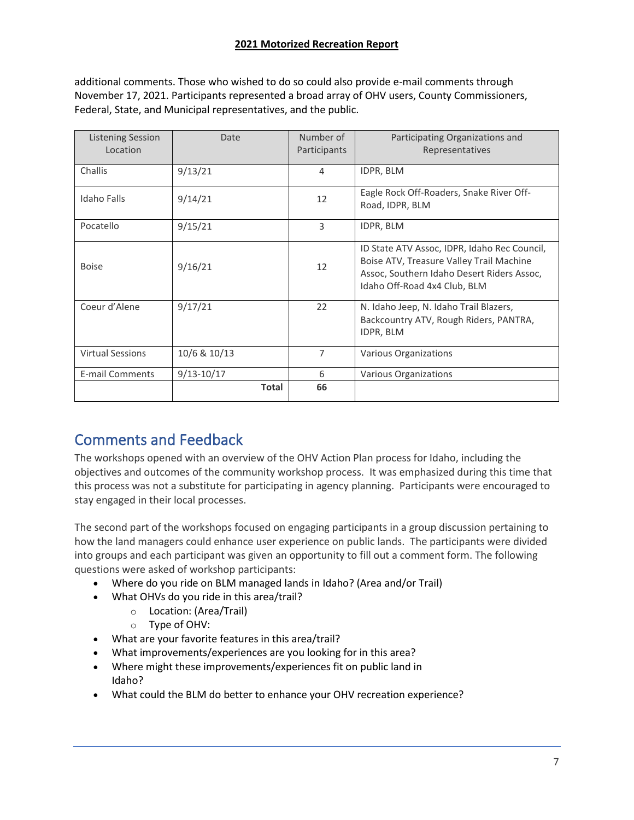additional comments. Those who wished to do so could also provide e-mail comments through November 17, 2021. Participants represented a broad array of OHV users, County Commissioners, Federal, State, and Municipal representatives, and the public.

| <b>Listening Session</b><br>Location | Date           | Number of<br>Participants | Participating Organizations and<br>Representatives                                                                                                                     |  |
|--------------------------------------|----------------|---------------------------|------------------------------------------------------------------------------------------------------------------------------------------------------------------------|--|
| Challis                              | 9/13/21        | 4                         | IDPR, BLM                                                                                                                                                              |  |
| <b>Idaho Falls</b>                   | 9/14/21        | 12                        | Eagle Rock Off-Roaders, Snake River Off-<br>Road, IDPR, BLM                                                                                                            |  |
| Pocatello                            | 9/15/21        | 3                         | IDPR, BLM                                                                                                                                                              |  |
| <b>Boise</b>                         | 9/16/21        | 12                        | ID State ATV Assoc, IDPR, Idaho Rec Council,<br>Boise ATV, Treasure Valley Trail Machine<br>Assoc, Southern Idaho Desert Riders Assoc,<br>Idaho Off-Road 4x4 Club, BLM |  |
| Coeur d'Alene                        | 9/17/21        | 22                        | N. Idaho Jeep, N. Idaho Trail Blazers,<br>Backcountry ATV, Rough Riders, PANTRA,<br><b>IDPR, BLM</b>                                                                   |  |
| <b>Virtual Sessions</b>              | 10/6 & 10/13   | $\overline{7}$            | Various Organizations                                                                                                                                                  |  |
| <b>E-mail Comments</b>               | $9/13 - 10/17$ | 6                         | Various Organizations                                                                                                                                                  |  |
|                                      | <b>Total</b>   | 66                        |                                                                                                                                                                        |  |

# <span id="page-8-0"></span>Comments and Feedback

The workshops opened with an overview of the OHV Action Plan process for Idaho, including the objectives and outcomes of the community workshop process. It was emphasized during this time that this process was not a substitute for participating in agency planning. Participants were encouraged to stay engaged in their local processes.

The second part of the workshops focused on engaging participants in a group discussion pertaining to how the land managers could enhance user experience on public lands. The participants were divided into groups and each participant was given an opportunity to fill out a comment form. The following questions were asked of workshop participants:

- Where do you ride on BLM managed lands in Idaho? (Area and/or Trail)
- What OHVs do you ride in this area/trail?
- o Location: (Area/Trail)
	- o Type of OHV:
- What are your favorite features in this area/trail?
- What improvements/experiences are you looking for in this area?
- Where might these improvements/experiences fit on public land in Idaho?
- What could the BLM do better to enhance your OHV recreation experience?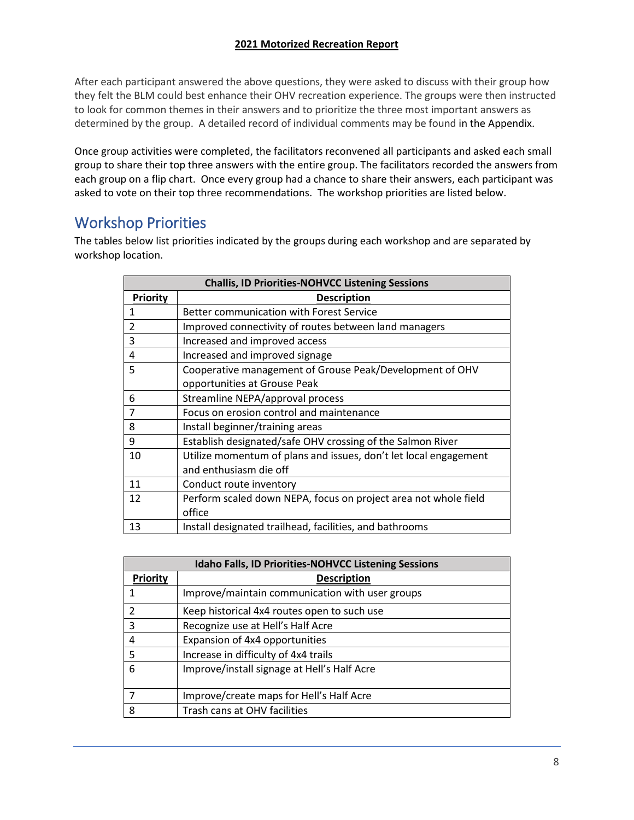After each participant answered the above questions, they were asked to discuss with their group how they felt the BLM could best enhance their OHV recreation experience. The groups were then instructed to look for common themes in their answers and to prioritize the three most important answers as determined by the group. A detailed record of individual comments may be found in the Appendix.

Once group activities were completed, the facilitators reconvened all participants and asked each small group to share their top three answers with the entire group. The facilitators recorded the answers from each group on a flip chart. Once every group had a chance to share their answers, each participant was asked to vote on their top three recommendations. The workshop priorities are listed below.

### <span id="page-9-0"></span>Workshop Priorities

The tables below list priorities indicated by the groups during each workshop and are separated by workshop location.

| <b>Challis, ID Priorities-NOHVCC Listening Sessions</b> |                                                                                            |  |  |  |
|---------------------------------------------------------|--------------------------------------------------------------------------------------------|--|--|--|
| <b>Priority</b>                                         | <b>Description</b>                                                                         |  |  |  |
| 1                                                       | Better communication with Forest Service                                                   |  |  |  |
| $\overline{2}$                                          | Improved connectivity of routes between land managers                                      |  |  |  |
| 3                                                       | Increased and improved access                                                              |  |  |  |
| 4                                                       | Increased and improved signage                                                             |  |  |  |
| 5                                                       | Cooperative management of Grouse Peak/Development of OHV                                   |  |  |  |
|                                                         | opportunities at Grouse Peak                                                               |  |  |  |
| 6                                                       | Streamline NEPA/approval process                                                           |  |  |  |
| 7                                                       | Focus on erosion control and maintenance                                                   |  |  |  |
| 8                                                       | Install beginner/training areas                                                            |  |  |  |
| 9                                                       | Establish designated/safe OHV crossing of the Salmon River                                 |  |  |  |
| 10                                                      | Utilize momentum of plans and issues, don't let local engagement<br>and enthusiasm die off |  |  |  |
| 11                                                      | Conduct route inventory                                                                    |  |  |  |
| 12                                                      | Perform scaled down NEPA, focus on project area not whole field<br>office                  |  |  |  |
| 13                                                      | Install designated trailhead, facilities, and bathrooms                                    |  |  |  |

| <b>Idaho Falls, ID Priorities-NOHVCC Listening Sessions</b> |                                                 |  |  |  |  |  |
|-------------------------------------------------------------|-------------------------------------------------|--|--|--|--|--|
| <b>Priority</b>                                             | <b>Description</b>                              |  |  |  |  |  |
|                                                             | Improve/maintain communication with user groups |  |  |  |  |  |
| $\mathcal{P}$                                               | Keep historical 4x4 routes open to such use     |  |  |  |  |  |
| 3                                                           | Recognize use at Hell's Half Acre               |  |  |  |  |  |
| 4                                                           | Expansion of 4x4 opportunities                  |  |  |  |  |  |
| .5                                                          | Increase in difficulty of 4x4 trails            |  |  |  |  |  |
| 6                                                           | Improve/install signage at Hell's Half Acre     |  |  |  |  |  |
|                                                             | Improve/create maps for Hell's Half Acre        |  |  |  |  |  |
| 8                                                           | Trash cans at OHV facilities                    |  |  |  |  |  |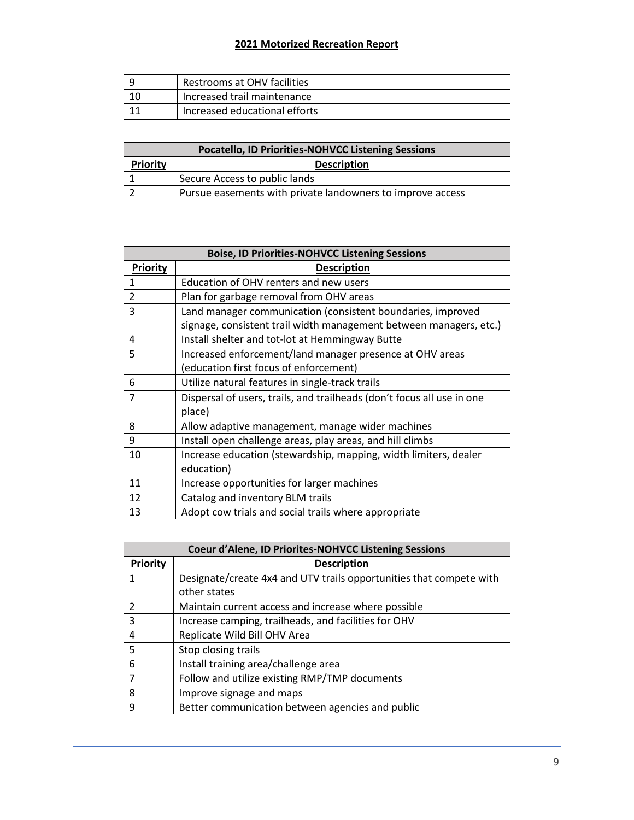| Restrooms at OHV facilities   |  |  |  |
|-------------------------------|--|--|--|
| Increased trail maintenance   |  |  |  |
| Increased educational efforts |  |  |  |

| <b>Pocatello, ID Priorities-NOHVCC Listening Sessions</b> |                                                            |  |  |  |
|-----------------------------------------------------------|------------------------------------------------------------|--|--|--|
| <b>Priority</b><br><b>Description</b>                     |                                                            |  |  |  |
|                                                           | Secure Access to public lands                              |  |  |  |
|                                                           | Pursue easements with private landowners to improve access |  |  |  |

| <b>Boise, ID Priorities-NOHVCC Listening Sessions</b> |                                                                        |  |  |  |  |
|-------------------------------------------------------|------------------------------------------------------------------------|--|--|--|--|
| <b>Priority</b>                                       | <b>Description</b>                                                     |  |  |  |  |
| 1                                                     | Education of OHV renters and new users                                 |  |  |  |  |
| $\overline{2}$                                        | Plan for garbage removal from OHV areas                                |  |  |  |  |
| 3                                                     | Land manager communication (consistent boundaries, improved            |  |  |  |  |
|                                                       | signage, consistent trail width management between managers, etc.)     |  |  |  |  |
| 4                                                     | Install shelter and tot-lot at Hemmingway Butte                        |  |  |  |  |
| 5                                                     | Increased enforcement/land manager presence at OHV areas               |  |  |  |  |
|                                                       | (education first focus of enforcement)                                 |  |  |  |  |
| 6                                                     | Utilize natural features in single-track trails                        |  |  |  |  |
| 7                                                     | Dispersal of users, trails, and trailheads (don't focus all use in one |  |  |  |  |
|                                                       | place)                                                                 |  |  |  |  |
| 8                                                     | Allow adaptive management, manage wider machines                       |  |  |  |  |
| 9                                                     | Install open challenge areas, play areas, and hill climbs              |  |  |  |  |
| 10                                                    | Increase education (stewardship, mapping, width limiters, dealer       |  |  |  |  |
|                                                       | education)                                                             |  |  |  |  |
| 11                                                    | Increase opportunities for larger machines                             |  |  |  |  |
| 12                                                    | Catalog and inventory BLM trails                                       |  |  |  |  |
| 13                                                    | Adopt cow trials and social trails where appropriate                   |  |  |  |  |

| <b>Coeur d'Alene, ID Priorites-NOHVCC Listening Sessions</b> |                                                                     |  |  |  |  |
|--------------------------------------------------------------|---------------------------------------------------------------------|--|--|--|--|
| <b>Priority</b>                                              | <b>Description</b>                                                  |  |  |  |  |
|                                                              | Designate/create 4x4 and UTV trails opportunities that compete with |  |  |  |  |
|                                                              | other states                                                        |  |  |  |  |
| $\mathcal{P}$                                                | Maintain current access and increase where possible                 |  |  |  |  |
| 3                                                            | Increase camping, trailheads, and facilities for OHV                |  |  |  |  |
| 4                                                            | Replicate Wild Bill OHV Area                                        |  |  |  |  |
| .5                                                           | Stop closing trails                                                 |  |  |  |  |
| 6                                                            | Install training area/challenge area                                |  |  |  |  |
| 7                                                            | Follow and utilize existing RMP/TMP documents                       |  |  |  |  |
| 8                                                            | Improve signage and maps                                            |  |  |  |  |
| 9                                                            | Better communication between agencies and public                    |  |  |  |  |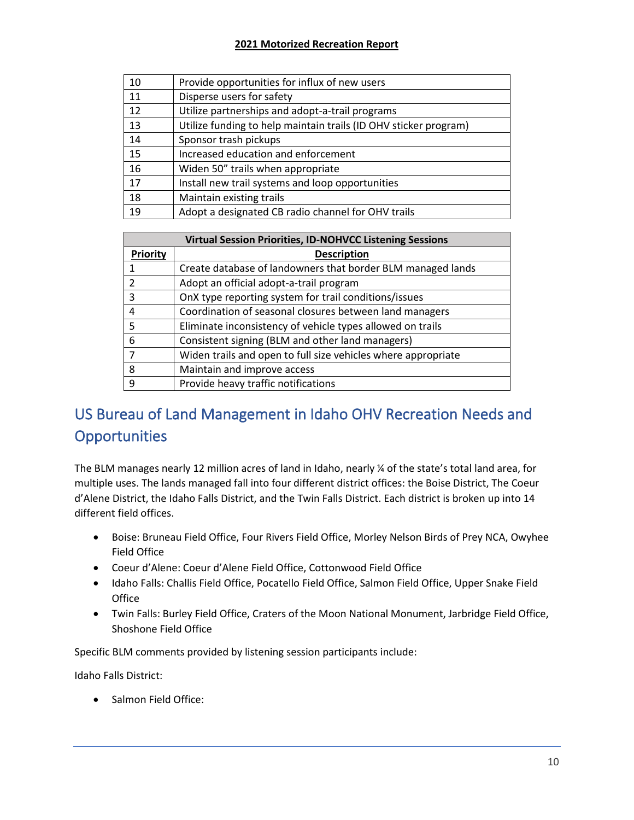| 10 | Provide opportunities for influx of new users                    |
|----|------------------------------------------------------------------|
| 11 | Disperse users for safety                                        |
| 12 | Utilize partnerships and adopt-a-trail programs                  |
| 13 | Utilize funding to help maintain trails (ID OHV sticker program) |
| 14 | Sponsor trash pickups                                            |
| 15 | Increased education and enforcement                              |
| 16 | Widen 50" trails when appropriate                                |
| 17 | Install new trail systems and loop opportunities                 |
| 18 | Maintain existing trails                                         |
| 19 | Adopt a designated CB radio channel for OHV trails               |

| <b>Virtual Session Priorities, ID-NOHVCC Listening Sessions</b> |                                                               |  |  |  |  |
|-----------------------------------------------------------------|---------------------------------------------------------------|--|--|--|--|
| Priority                                                        | <b>Description</b>                                            |  |  |  |  |
| 1                                                               | Create database of landowners that border BLM managed lands   |  |  |  |  |
| $\overline{\phantom{a}}$                                        | Adopt an official adopt-a-trail program                       |  |  |  |  |
| 3                                                               | OnX type reporting system for trail conditions/issues         |  |  |  |  |
| 4                                                               | Coordination of seasonal closures between land managers       |  |  |  |  |
| .5                                                              | Eliminate inconsistency of vehicle types allowed on trails    |  |  |  |  |
| 6                                                               | Consistent signing (BLM and other land managers)              |  |  |  |  |
|                                                                 | Widen trails and open to full size vehicles where appropriate |  |  |  |  |
| 8                                                               | Maintain and improve access                                   |  |  |  |  |
| 9                                                               | Provide heavy traffic notifications                           |  |  |  |  |

# <span id="page-11-0"></span>US Bureau of Land Management in Idaho OHV Recreation Needs and **Opportunities**

The BLM manages nearly 12 million acres of land in Idaho, nearly ¼ of the state's total land area, for multiple uses. The lands managed fall into four different district offices: the Boise District, The Coeur d'Alene District, the Idaho Falls District, and the Twin Falls District. Each district is broken up into 14 different field offices.

- Boise: Bruneau Field Office, Four Rivers Field Office, Morley Nelson Birds of Prey NCA, Owyhee Field Office
- Coeur d'Alene: Coeur d'Alene Field Office, Cottonwood Field Office
- Idaho Falls: Challis Field Office, Pocatello Field Office, Salmon Field Office, Upper Snake Field **Office**
- Twin Falls: Burley Field Office, Craters of the Moon National Monument, Jarbridge Field Office, Shoshone Field Office

Specific BLM comments provided by listening session participants include:

Idaho Falls District:

• Salmon Field Office: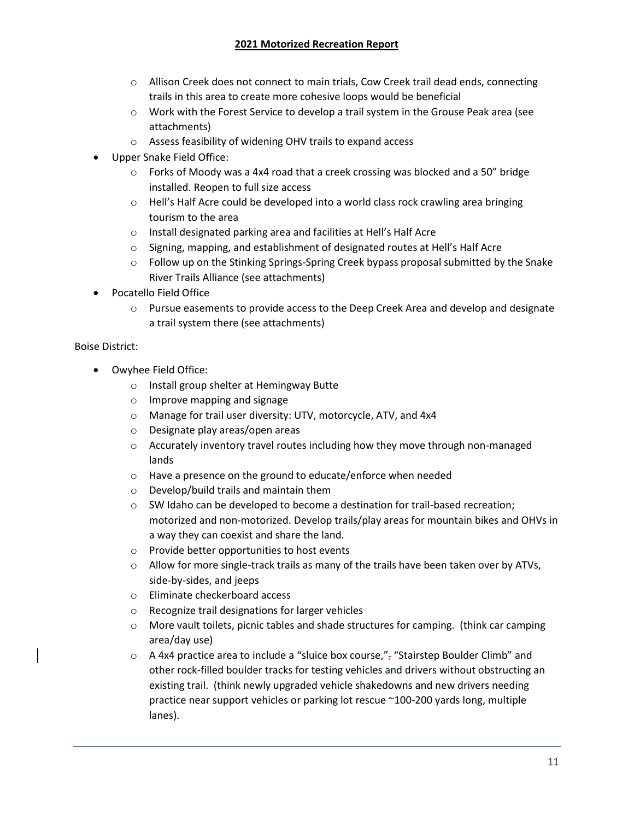- $\circ$  Allison Creek does not connect to main trials, Cow Creek trail dead ends, connecting trails in this area to create more cohesive loops would be beneficial
- o Work with the Forest Service to develop a trail system in the Grouse Peak area (see attachments)
- o Assess feasibility of widening OHV trails to expand access
- Upper Snake Field Office:
	- $\circ$  Forks of Moody was a 4x4 road that a creek crossing was blocked and a 50" bridge installed. Reopen to full size access
	- $\circ$  Hell's Half Acre could be developed into a world class rock crawling area bringing tourism to the area
	- o Install designated parking area and facilities at Hell's Half Acre
	- o Signing, mapping, and establishment of designated routes at Hell's Half Acre
	- $\circ$  Follow up on the Stinking Springs-Spring Creek bypass proposal submitted by the Snake River Trails Alliance (see attachments)
- Pocatello Field Office
	- $\circ$  Pursue easements to provide access to the Deep Creek Area and develop and designate a trail system there (see attachments)

#### Boise District:

- Owyhee Field Office:
	- o Install group shelter at Hemingway Butte
	- o Improve mapping and signage
	- o Manage for trail user diversity: UTV, motorcycle, ATV, and 4x4
	- o Designate play areas/open areas
	- $\circ$  Accurately inventory travel routes including how they move through non-managed lands
	- o Have a presence on the ground to educate/enforce when needed
	- o Develop/build trails and maintain them
	- $\circ$  SW Idaho can be developed to become a destination for trail-based recreation; motorized and non-motorized. Develop trails/play areas for mountain bikes and OHVs in a way they can coexist and share the land.
	- o Provide better opportunities to host events
	- $\circ$  Allow for more single-track trails as many of the trails have been taken over by ATVs, side-by-sides, and jeeps
	- o Eliminate checkerboard access
	- o Recognize trail designations for larger vehicles
	- o More vault toilets, picnic tables and shade structures for camping. (think car camping area/day use)
	- $\circ$  A 4x4 practice area to include a "sluice box course,", "Stairstep Boulder Climb" and other rock-filled boulder tracks for testing vehicles and drivers without obstructing an existing trail. (think newly upgraded vehicle shakedowns and new drivers needing practice near support vehicles or parking lot rescue ~100-200 yards long, multiple lanes).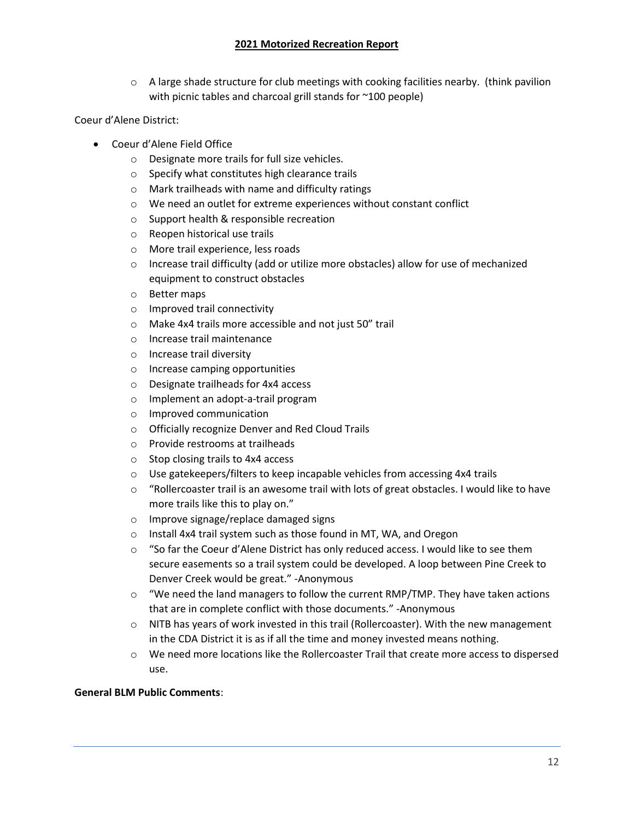$\circ$  A large shade structure for club meetings with cooking facilities nearby. (think pavilion with picnic tables and charcoal grill stands for ~100 people)

Coeur d'Alene District:

- Coeur d'Alene Field Office
	- o Designate more trails for full size vehicles.
	- o Specify what constitutes high clearance trails
	- o Mark trailheads with name and difficulty ratings
	- o We need an outlet for extreme experiences without constant conflict
	- o Support health & responsible recreation
	- o Reopen historical use trails
	- o More trail experience, less roads
	- $\circ$  Increase trail difficulty (add or utilize more obstacles) allow for use of mechanized equipment to construct obstacles
	- o Better maps
	- o Improved trail connectivity
	- o Make 4x4 trails more accessible and not just 50" trail
	- o Increase trail maintenance
	- o Increase trail diversity
	- o Increase camping opportunities
	- o Designate trailheads for 4x4 access
	- o Implement an adopt-a-trail program
	- o Improved communication
	- o Officially recognize Denver and Red Cloud Trails
	- o Provide restrooms at trailheads
	- o Stop closing trails to 4x4 access
	- $\circ$  Use gatekeepers/filters to keep incapable vehicles from accessing 4x4 trails
	- $\circ$  "Rollercoaster trail is an awesome trail with lots of great obstacles. I would like to have more trails like this to play on."
	- o Improve signage/replace damaged signs
	- o Install 4x4 trail system such as those found in MT, WA, and Oregon
	- $\circ$  "So far the Coeur d'Alene District has only reduced access. I would like to see them secure easements so a trail system could be developed. A loop between Pine Creek to Denver Creek would be great." -Anonymous
	- $\circ$  "We need the land managers to follow the current RMP/TMP. They have taken actions that are in complete conflict with those documents." -Anonymous
	- $\circ$  NITB has years of work invested in this trail (Rollercoaster). With the new management in the CDA District it is as if all the time and money invested means nothing.
	- o We need more locations like the Rollercoaster Trail that create more access to dispersed use.

#### **General BLM Public Comments**: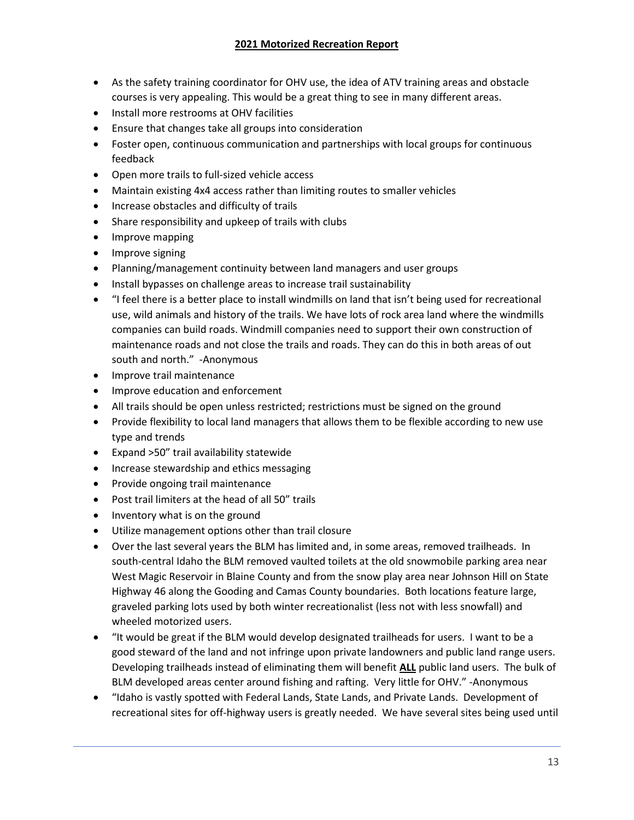- As the safety training coordinator for OHV use, the idea of ATV training areas and obstacle courses is very appealing. This would be a great thing to see in many different areas.
- Install more restrooms at OHV facilities
- Ensure that changes take all groups into consideration
- Foster open, continuous communication and partnerships with local groups for continuous feedback
- Open more trails to full-sized vehicle access
- Maintain existing 4x4 access rather than limiting routes to smaller vehicles
- Increase obstacles and difficulty of trails
- Share responsibility and upkeep of trails with clubs
- Improve mapping
- Improve signing
- Planning/management continuity between land managers and user groups
- Install bypasses on challenge areas to increase trail sustainability
- "I feel there is a better place to install windmills on land that isn't being used for recreational use, wild animals and history of the trails. We have lots of rock area land where the windmills companies can build roads. Windmill companies need to support their own construction of maintenance roads and not close the trails and roads. They can do this in both areas of out south and north." -Anonymous
- Improve trail maintenance
- Improve education and enforcement
- All trails should be open unless restricted; restrictions must be signed on the ground
- Provide flexibility to local land managers that allows them to be flexible according to new use type and trends
- Expand >50" trail availability statewide
- Increase stewardship and ethics messaging
- Provide ongoing trail maintenance
- Post trail limiters at the head of all 50" trails
- Inventory what is on the ground
- Utilize management options other than trail closure
- Over the last several years the BLM has limited and, in some areas, removed trailheads. In south-central Idaho the BLM removed vaulted toilets at the old snowmobile parking area near West Magic Reservoir in Blaine County and from the snow play area near Johnson Hill on State Highway 46 along the Gooding and Camas County boundaries. Both locations feature large, graveled parking lots used by both winter recreationalist (less not with less snowfall) and wheeled motorized users.
- "It would be great if the BLM would develop designated trailheads for users. I want to be a good steward of the land and not infringe upon private landowners and public land range users. Developing trailheads instead of eliminating them will benefit **ALL** public land users. The bulk of BLM developed areas center around fishing and rafting. Very little for OHV." -Anonymous
- "Idaho is vastly spotted with Federal Lands, State Lands, and Private Lands. Development of recreational sites for off-highway users is greatly needed. We have several sites being used until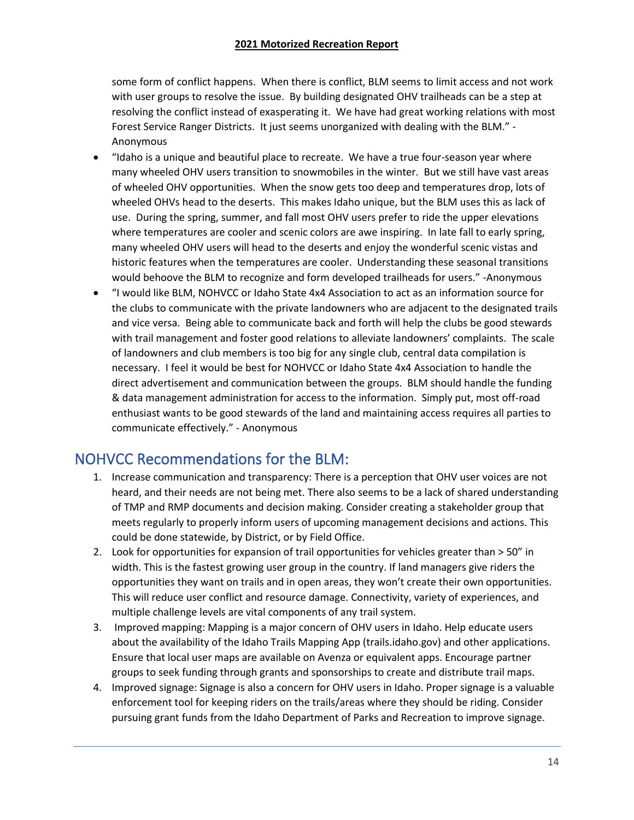some form of conflict happens. When there is conflict, BLM seems to limit access and not work with user groups to resolve the issue. By building designated OHV trailheads can be a step at resolving the conflict instead of exasperating it. We have had great working relations with most Forest Service Ranger Districts. It just seems unorganized with dealing with the BLM." - Anonymous

- "Idaho is a unique and beautiful place to recreate. We have a true four-season year where many wheeled OHV users transition to snowmobiles in the winter. But we still have vast areas of wheeled OHV opportunities. When the snow gets too deep and temperatures drop, lots of wheeled OHVs head to the deserts. This makes Idaho unique, but the BLM uses this as lack of use. During the spring, summer, and fall most OHV users prefer to ride the upper elevations where temperatures are cooler and scenic colors are awe inspiring. In late fall to early spring, many wheeled OHV users will head to the deserts and enjoy the wonderful scenic vistas and historic features when the temperatures are cooler. Understanding these seasonal transitions would behoove the BLM to recognize and form developed trailheads for users." -Anonymous
- "I would like BLM, NOHVCC or Idaho State 4x4 Association to act as an information source for the clubs to communicate with the private landowners who are adjacent to the designated trails and vice versa. Being able to communicate back and forth will help the clubs be good stewards with trail management and foster good relations to alleviate landowners' complaints. The scale of landowners and club members is too big for any single club, central data compilation is necessary. I feel it would be best for NOHVCC or Idaho State 4x4 Association to handle the direct advertisement and communication between the groups. BLM should handle the funding & data management administration for access to the information. Simply put, most off-road enthusiast wants to be good stewards of the land and maintaining access requires all parties to communicate effectively." - Anonymous

### <span id="page-15-0"></span>NOHVCC Recommendations for the BLM:

- 1. Increase communication and transparency: There is a perception that OHV user voices are not heard, and their needs are not being met. There also seems to be a lack of shared understanding of TMP and RMP documents and decision making. Consider creating a stakeholder group that meets regularly to properly inform users of upcoming management decisions and actions. This could be done statewide, by District, or by Field Office.
- 2. Look for opportunities for expansion of trail opportunities for vehicles greater than > 50" in width. This is the fastest growing user group in the country. If land managers give riders the opportunities they want on trails and in open areas, they won't create their own opportunities. This will reduce user conflict and resource damage. Connectivity, variety of experiences, and multiple challenge levels are vital components of any trail system.
- 3. Improved mapping: Mapping is a major concern of OHV users in Idaho. Help educate users about the availability of the Idaho Trails Mapping App (trails.idaho.gov) and other applications. Ensure that local user maps are available on Avenza or equivalent apps. Encourage partner groups to seek funding through grants and sponsorships to create and distribute trail maps.
- 4. Improved signage: Signage is also a concern for OHV users in Idaho. Proper signage is a valuable enforcement tool for keeping riders on the trails/areas where they should be riding. Consider pursuing grant funds from the Idaho Department of Parks and Recreation to improve signage.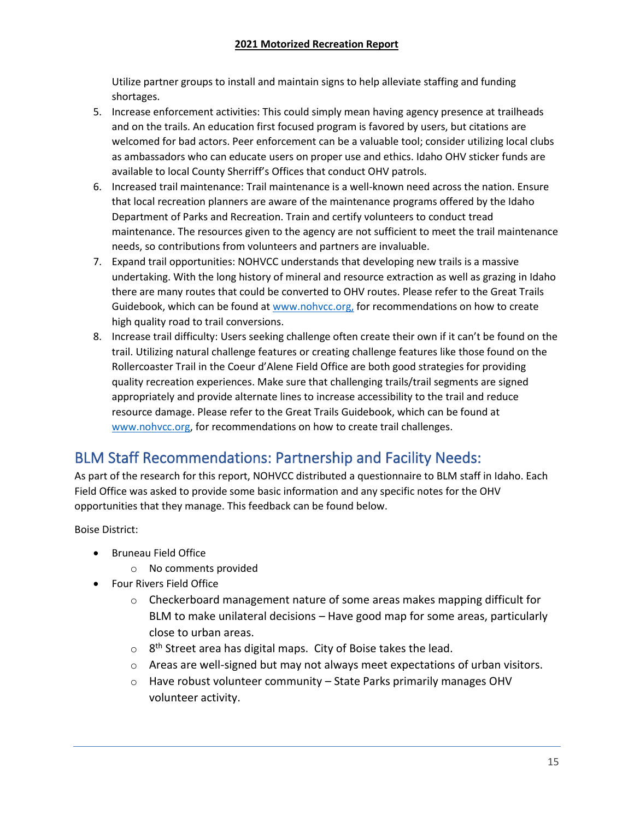Utilize partner groups to install and maintain signs to help alleviate staffing and funding shortages.

- 5. Increase enforcement activities: This could simply mean having agency presence at trailheads and on the trails. An education first focused program is favored by users, but citations are welcomed for bad actors. Peer enforcement can be a valuable tool; consider utilizing local clubs as ambassadors who can educate users on proper use and ethics. Idaho OHV sticker funds are available to local County Sherriff's Offices that conduct OHV patrols.
- 6. Increased trail maintenance: Trail maintenance is a well-known need across the nation. Ensure that local recreation planners are aware of the maintenance programs offered by the Idaho Department of Parks and Recreation. Train and certify volunteers to conduct tread maintenance. The resources given to the agency are not sufficient to meet the trail maintenance needs, so contributions from volunteers and partners are invaluable.
- 7. Expand trail opportunities: NOHVCC understands that developing new trails is a massive undertaking. With the long history of mineral and resource extraction as well as grazing in Idaho there are many routes that could be converted to OHV routes. Please refer to the Great Trails Guidebook, which can be found a[t www.nohvcc.org,](http://www.nohvcc.org/) for recommendations on how to create high quality road to trail conversions.
- 8. Increase trail difficulty: Users seeking challenge often create their own if it can't be found on the trail. Utilizing natural challenge features or creating challenge features like those found on the Rollercoaster Trail in the Coeur d'Alene Field Office are both good strategies for providing quality recreation experiences. Make sure that challenging trails/trail segments are signed appropriately and provide alternate lines to increase accessibility to the trail and reduce resource damage. Please refer to the Great Trails Guidebook, which can be found at [www.nohvcc.org,](http://www.nohvcc.org/) for recommendations on how to create trail challenges.

# <span id="page-16-0"></span>BLM Staff Recommendations: Partnership and Facility Needs:

As part of the research for this report, NOHVCC distributed a questionnaire to BLM staff in Idaho. Each Field Office was asked to provide some basic information and any specific notes for the OHV opportunities that they manage. This feedback can be found below.

Boise District:

- Bruneau Field Office
	- o No comments provided
- Four Rivers Field Office
	- $\circ$  Checkerboard management nature of some areas makes mapping difficult for BLM to make unilateral decisions – Have good map for some areas, particularly close to urban areas.
	- $\circ$  8<sup>th</sup> Street area has digital maps. City of Boise takes the lead.
	- o Areas are well-signed but may not always meet expectations of urban visitors.
	- $\circ$  Have robust volunteer community State Parks primarily manages OHV volunteer activity.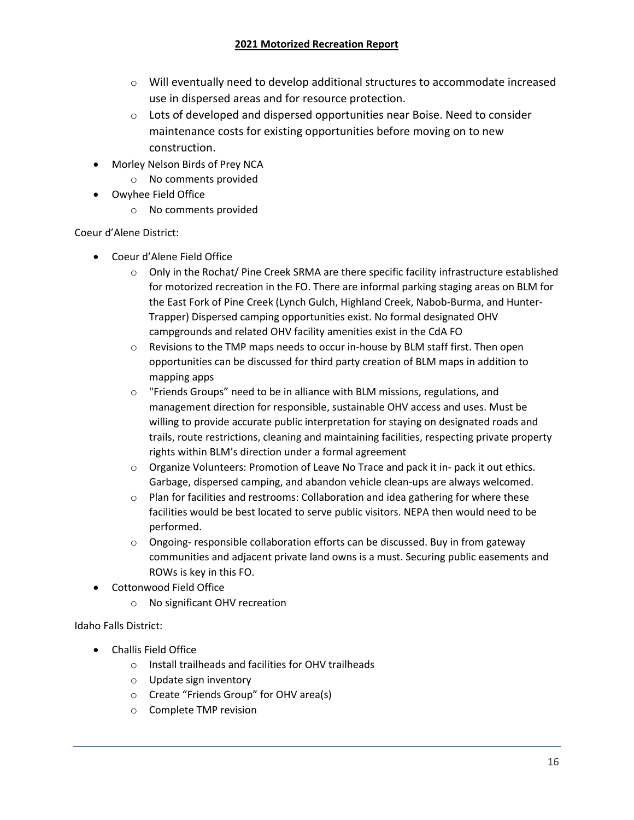- $\circ$  Will eventually need to develop additional structures to accommodate increased use in dispersed areas and for resource protection.
- $\circ$  Lots of developed and dispersed opportunities near Boise. Need to consider maintenance costs for existing opportunities before moving on to new construction.
- Morley Nelson Birds of Prey NCA
	- o No comments provided
- Owyhee Field Office
	- o No comments provided

Coeur d'Alene District:

- Coeur d'Alene Field Office
	- o Only in the Rochat/ Pine Creek SRMA are there specific facility infrastructure established for motorized recreation in the FO. There are informal parking staging areas on BLM for the East Fork of Pine Creek (Lynch Gulch, Highland Creek, Nabob-Burma, and Hunter-Trapper) Dispersed camping opportunities exist. No formal designated OHV campgrounds and related OHV facility amenities exist in the CdA FO
	- o Revisions to the TMP maps needs to occur in-house by BLM staff first. Then open opportunities can be discussed for third party creation of BLM maps in addition to mapping apps
	- o "Friends Groups" need to be in alliance with BLM missions, regulations, and management direction for responsible, sustainable OHV access and uses. Must be willing to provide accurate public interpretation for staying on designated roads and trails, route restrictions, cleaning and maintaining facilities, respecting private property rights within BLM's direction under a formal agreement
	- o Organize Volunteers: Promotion of Leave No Trace and pack it in- pack it out ethics. Garbage, dispersed camping, and abandon vehicle clean-ups are always welcomed.
	- $\circ$  Plan for facilities and restrooms: Collaboration and idea gathering for where these facilities would be best located to serve public visitors. NEPA then would need to be performed.
	- $\circ$  Ongoing- responsible collaboration efforts can be discussed. Buy in from gateway communities and adjacent private land owns is a must. Securing public easements and ROWs is key in this FO.
- Cottonwood Field Office
	- o No significant OHV recreation

Idaho Falls District:

- Challis Field Office
	- o Install trailheads and facilities for OHV trailheads
	- o Update sign inventory
	- o Create "Friends Group" for OHV area(s)
	- o Complete TMP revision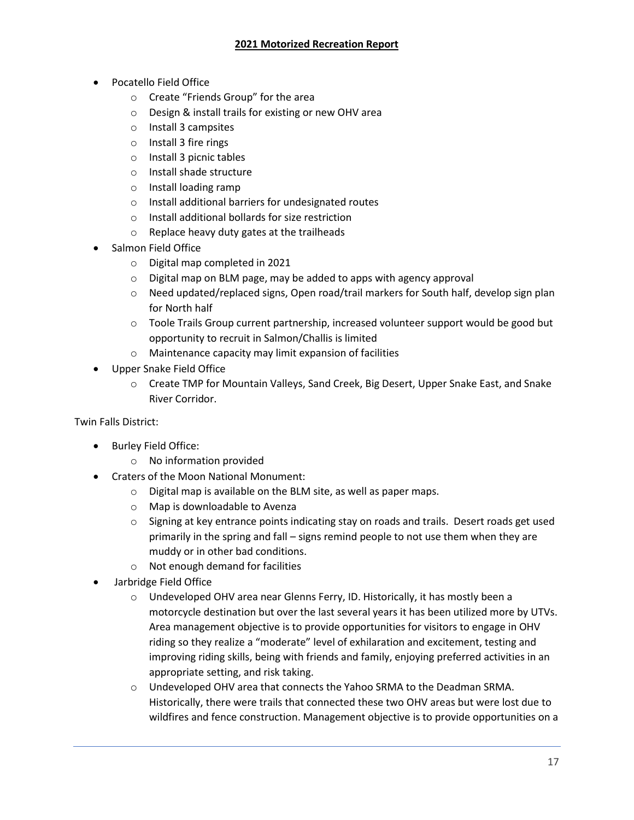- Pocatello Field Office
	- o Create "Friends Group" for the area
	- o Design & install trails for existing or new OHV area
	- o Install 3 campsites
	- o Install 3 fire rings
	- o Install 3 picnic tables
	- o Install shade structure
	- o Install loading ramp
	- o Install additional barriers for undesignated routes
	- o Install additional bollards for size restriction
	- o Replace heavy duty gates at the trailheads
- Salmon Field Office
	- o Digital map completed in 2021
	- o Digital map on BLM page, may be added to apps with agency approval
	- o Need updated/replaced signs, Open road/trail markers for South half, develop sign plan for North half
	- o Toole Trails Group current partnership, increased volunteer support would be good but opportunity to recruit in Salmon/Challis is limited
	- o Maintenance capacity may limit expansion of facilities
- Upper Snake Field Office
	- o Create TMP for Mountain Valleys, Sand Creek, Big Desert, Upper Snake East, and Snake River Corridor.

#### Twin Falls District:

- Burley Field Office:
	- o No information provided
- Craters of the Moon National Monument:
	- o Digital map is available on the BLM site, as well as paper maps.
	- o Map is downloadable to Avenza
	- $\circ$  Signing at key entrance points indicating stay on roads and trails. Desert roads get used primarily in the spring and fall – signs remind people to not use them when they are muddy or in other bad conditions.
	- o Not enough demand for facilities
- Jarbridge Field Office
	- o Undeveloped OHV area near Glenns Ferry, ID. Historically, it has mostly been a motorcycle destination but over the last several years it has been utilized more by UTVs. Area management objective is to provide opportunities for visitors to engage in OHV riding so they realize a "moderate" level of exhilaration and excitement, testing and improving riding skills, being with friends and family, enjoying preferred activities in an appropriate setting, and risk taking.
	- o Undeveloped OHV area that connects the Yahoo SRMA to the Deadman SRMA. Historically, there were trails that connected these two OHV areas but were lost due to wildfires and fence construction. Management objective is to provide opportunities on a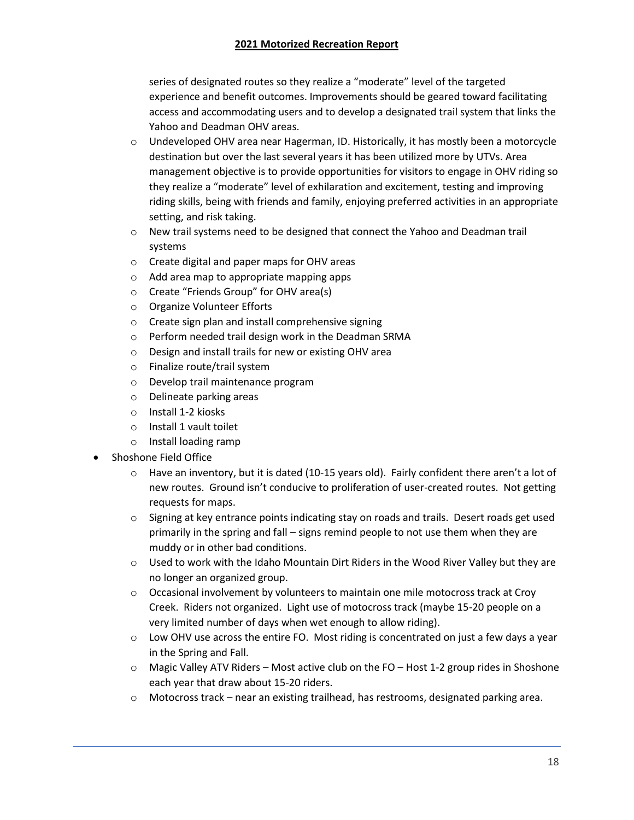series of designated routes so they realize a "moderate" level of the targeted experience and benefit outcomes. Improvements should be geared toward facilitating access and accommodating users and to develop a designated trail system that links the Yahoo and Deadman OHV areas.

- o Undeveloped OHV area near Hagerman, ID. Historically, it has mostly been a motorcycle destination but over the last several years it has been utilized more by UTVs. Area management objective is to provide opportunities for visitors to engage in OHV riding so they realize a "moderate" level of exhilaration and excitement, testing and improving riding skills, being with friends and family, enjoying preferred activities in an appropriate setting, and risk taking.
- o New trail systems need to be designed that connect the Yahoo and Deadman trail systems
- o Create digital and paper maps for OHV areas
- o Add area map to appropriate mapping apps
- o Create "Friends Group" for OHV area(s)
- o Organize Volunteer Efforts
- o Create sign plan and install comprehensive signing
- o Perform needed trail design work in the Deadman SRMA
- o Design and install trails for new or existing OHV area
- o Finalize route/trail system
- o Develop trail maintenance program
- o Delineate parking areas
- o Install 1-2 kiosks
- o Install 1 vault toilet
- o Install loading ramp
- Shoshone Field Office
	- $\circ$  Have an inventory, but it is dated (10-15 years old). Fairly confident there aren't a lot of new routes. Ground isn't conducive to proliferation of user-created routes. Not getting requests for maps.
	- o Signing at key entrance points indicating stay on roads and trails. Desert roads get used primarily in the spring and fall – signs remind people to not use them when they are muddy or in other bad conditions.
	- o Used to work with the Idaho Mountain Dirt Riders in the Wood River Valley but they are no longer an organized group.
	- $\circ$  Occasional involvement by volunteers to maintain one mile motocross track at Croy Creek. Riders not organized. Light use of motocross track (maybe 15-20 people on a very limited number of days when wet enough to allow riding).
	- $\circ$  Low OHV use across the entire FO. Most riding is concentrated on just a few days a year in the Spring and Fall.
	- $\circ$  Magic Valley ATV Riders Most active club on the FO Host 1-2 group rides in Shoshone each year that draw about 15-20 riders.
	- $\circ$  Motocross track near an existing trailhead, has restrooms, designated parking area.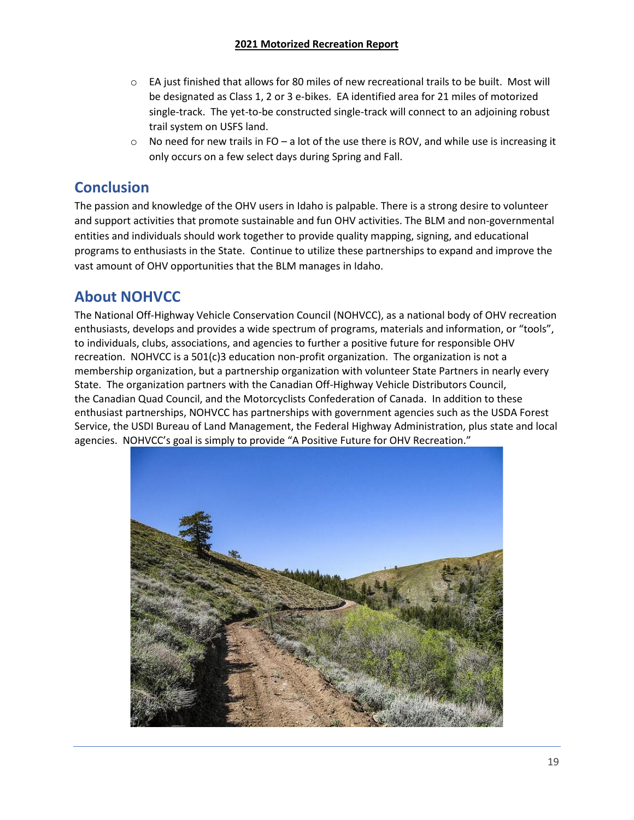- $\circ$  EA just finished that allows for 80 miles of new recreational trails to be built. Most will be designated as Class 1, 2 or 3 e-bikes. EA identified area for 21 miles of motorized single-track. The yet-to-be constructed single-track will connect to an adjoining robust trail system on USFS land.
- $\circ$  No need for new trails in FO a lot of the use there is ROV, and while use is increasing it only occurs on a few select days during Spring and Fall.

### <span id="page-20-0"></span>**Conclusion**

The passion and knowledge of the OHV users in Idaho is palpable. There is a strong desire to volunteer and support activities that promote sustainable and fun OHV activities. The BLM and non-governmental entities and individuals should work together to provide quality mapping, signing, and educational programs to enthusiasts in the State. Continue to utilize these partnerships to expand and improve the vast amount of OHV opportunities that the BLM manages in Idaho.

### <span id="page-20-1"></span>**About NOHVCC**

The National Off-Highway Vehicle Conservation Council (NOHVCC), as a national body of OHV recreation enthusiasts, develops and provides a wide spectrum of programs, materials and information, or "tools", to individuals, clubs, associations, and agencies to further a positive future for responsible OHV recreation. NOHVCC is a 501(c)3 education non-profit organization. The organization is not a membership organization, but a partnership organization with volunteer State Partners in nearly every State. The organization partners with the Canadian Off-Highway Vehicle Distributors Council, the Canadian Quad Council, and the Motorcyclists Confederation of Canada. In addition to these enthusiast partnerships, NOHVCC has partnerships with government agencies such as the USDA Forest Service, the USDI Bureau of Land Management, the Federal Highway Administration, plus state and local agencies. NOHVCC's goal is simply to provide "A Positive Future for OHV Recreation."